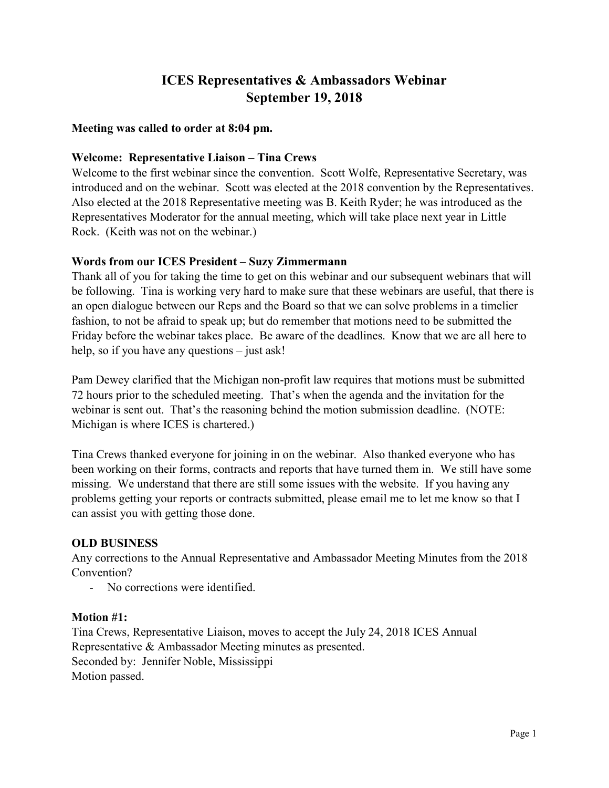# ICES Representatives & Ambassadors Webinar September 19, 2018

#### Meeting was called to order at 8:04 pm.

#### Welcome: Representative Liaison – Tina Crews

Welcome to the first webinar since the convention. Scott Wolfe, Representative Secretary, was introduced and on the webinar. Scott was elected at the 2018 convention by the Representatives. Also elected at the 2018 Representative meeting was B. Keith Ryder; he was introduced as the Representatives Moderator for the annual meeting, which will take place next year in Little Rock. (Keith was not on the webinar.)

#### Words from our ICES President – Suzy Zimmermann

Thank all of you for taking the time to get on this webinar and our subsequent webinars that will be following. Tina is working very hard to make sure that these webinars are useful, that there is an open dialogue between our Reps and the Board so that we can solve problems in a timelier fashion, to not be afraid to speak up; but do remember that motions need to be submitted the Friday before the webinar takes place. Be aware of the deadlines. Know that we are all here to help, so if you have any questions – just ask!

Pam Dewey clarified that the Michigan non-profit law requires that motions must be submitted 72 hours prior to the scheduled meeting. That's when the agenda and the invitation for the webinar is sent out. That's the reasoning behind the motion submission deadline. (NOTE: Michigan is where ICES is chartered.)

Tina Crews thanked everyone for joining in on the webinar. Also thanked everyone who has been working on their forms, contracts and reports that have turned them in. We still have some missing. We understand that there are still some issues with the website. If you having any problems getting your reports or contracts submitted, please email me to let me know so that I can assist you with getting those done.

## OLD BUSINESS

Any corrections to the Annual Representative and Ambassador Meeting Minutes from the 2018 Convention?

- No corrections were identified.

#### Motion #1:

Tina Crews, Representative Liaison, moves to accept the July 24, 2018 ICES Annual Representative & Ambassador Meeting minutes as presented. Seconded by: Jennifer Noble, Mississippi Motion passed.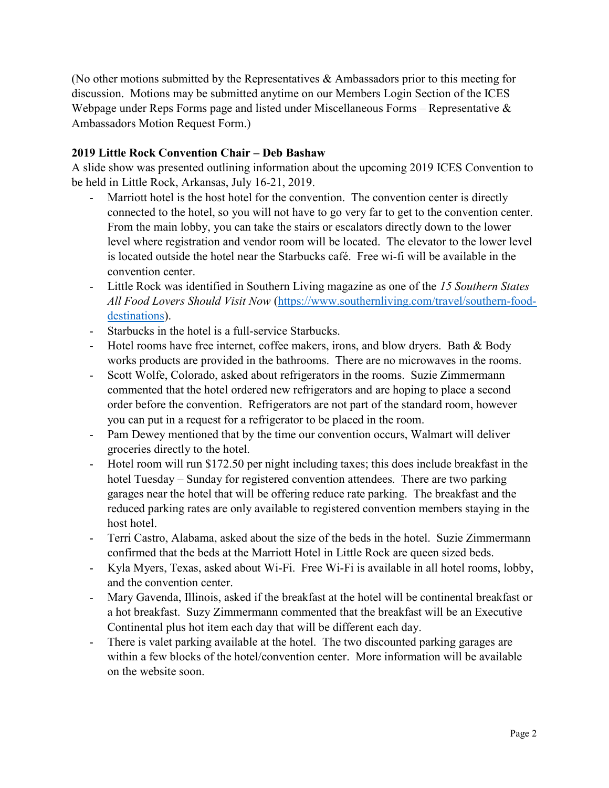(No other motions submitted by the Representatives & Ambassadors prior to this meeting for discussion. Motions may be submitted anytime on our Members Login Section of the ICES Webpage under Reps Forms page and listed under Miscellaneous Forms – Representative & Ambassadors Motion Request Form.)

#### 2019 Little Rock Convention Chair – Deb Bashaw

A slide show was presented outlining information about the upcoming 2019 ICES Convention to be held in Little Rock, Arkansas, July 16-21, 2019.

- Marriott hotel is the host hotel for the convention. The convention center is directly connected to the hotel, so you will not have to go very far to get to the convention center. From the main lobby, you can take the stairs or escalators directly down to the lower level where registration and vendor room will be located. The elevator to the lower level is located outside the hotel near the Starbucks café. Free wi-fi will be available in the convention center.
- Little Rock was identified in Southern Living magazine as one of the 15 Southern States All Food Lovers Should Visit Now (https://www.southernliving.com/travel/southern-fooddestinations).
- Starbucks in the hotel is a full-service Starbucks.
- Hotel rooms have free internet, coffee makers, irons, and blow dryers. Bath & Body works products are provided in the bathrooms. There are no microwaves in the rooms.
- Scott Wolfe, Colorado, asked about refrigerators in the rooms. Suzie Zimmermann commented that the hotel ordered new refrigerators and are hoping to place a second order before the convention. Refrigerators are not part of the standard room, however you can put in a request for a refrigerator to be placed in the room.
- Pam Dewey mentioned that by the time our convention occurs, Walmart will deliver groceries directly to the hotel.
- Hotel room will run \$172.50 per night including taxes; this does include breakfast in the hotel Tuesday – Sunday for registered convention attendees. There are two parking garages near the hotel that will be offering reduce rate parking. The breakfast and the reduced parking rates are only available to registered convention members staying in the host hotel.
- Terri Castro, Alabama, asked about the size of the beds in the hotel. Suzie Zimmermann confirmed that the beds at the Marriott Hotel in Little Rock are queen sized beds.
- Kyla Myers, Texas, asked about Wi-Fi. Free Wi-Fi is available in all hotel rooms, lobby, and the convention center.
- Mary Gavenda, Illinois, asked if the breakfast at the hotel will be continental breakfast or a hot breakfast. Suzy Zimmermann commented that the breakfast will be an Executive Continental plus hot item each day that will be different each day.
- There is valet parking available at the hotel. The two discounted parking garages are within a few blocks of the hotel/convention center. More information will be available on the website soon.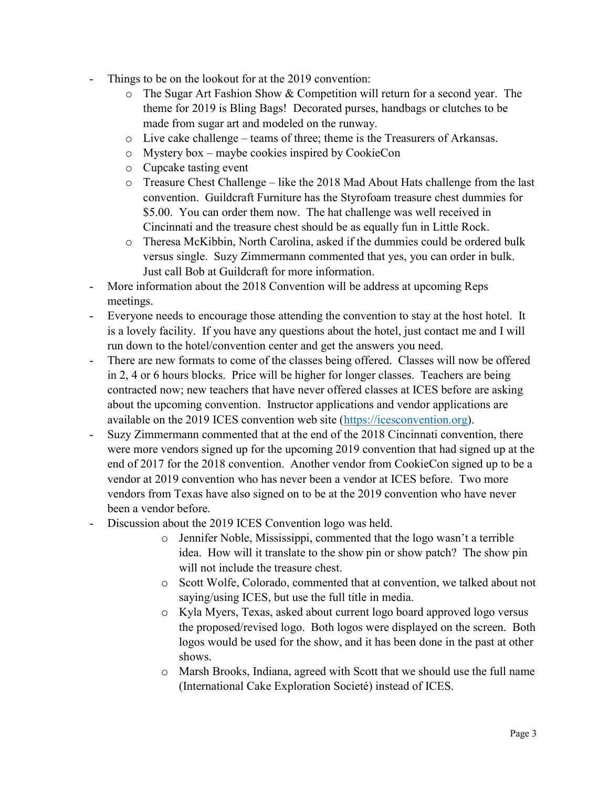- Things to be on the lookout for at the 2019 convention:
	- o The Sugar Art Fashion Show & Competition will return for a second year. The theme for 2019 is Bling Bags! Decorated purses, handbags or clutches to be made from sugar art and modeled on the runway.
	- $\circ$  Live cake challenge teams of three; theme is the Treasurers of Arkansas.
	- o Mystery box maybe cookies inspired by CookieCon
	- o Cupcake tasting event
	- $\circ$  Treasure Chest Challenge like the 2018 Mad About Hats challenge from the last convention. Guildcraft Furniture has the Styrofoam treasure chest dummies for \$5.00. You can order them now. The hat challenge was well received in Cincinnati and the treasure chest should be as equally fun in Little Rock.
	- o Theresa McKibbin, North Carolina, asked if the dummies could be ordered bulk versus single. Suzy Zimmermann commented that yes, you can order in bulk. Just call Bob at Guildcraft for more information.
- More information about the 2018 Convention will be address at upcoming Reps meetings.
- Everyone needs to encourage those attending the convention to stay at the host hotel. It is a lovely facility. If you have any questions about the hotel, just contact me and I will run down to the hotel/convention center and get the answers you need.
- There are new formats to come of the classes being offered. Classes will now be offered in 2, 4 or 6 hours blocks. Price will be higher for longer classes. Teachers are being contracted now; new teachers that have never offered classes at ICES before are asking about the upcoming convention. Instructor applications and vendor applications are available on the 2019 ICES convention web site (https://icesconvention.org).
- Suzy Zimmermann commented that at the end of the 2018 Cincinnati convention, there were more vendors signed up for the upcoming 2019 convention that had signed up at the end of 2017 for the 2018 convention. Another vendor from CookieCon signed up to be a vendor at 2019 convention who has never been a vendor at ICES before. Two more vendors from Texas have also signed on to be at the 2019 convention who have never been a vendor before.
- Discussion about the 2019 ICES Convention logo was held.
	- o Jennifer Noble, Mississippi, commented that the logo wasn't a terrible idea. How will it translate to the show pin or show patch? The show pin will not include the treasure chest.
	- o Scott Wolfe, Colorado, commented that at convention, we talked about not saying/using ICES, but use the full title in media.
	- o Kyla Myers, Texas, asked about current logo board approved logo versus the proposed/revised logo. Both logos were displayed on the screen. Both logos would be used for the show, and it has been done in the past at other shows.
	- o Marsh Brooks, Indiana, agreed with Scott that we should use the full name (International Cake Exploration Societé) instead of ICES.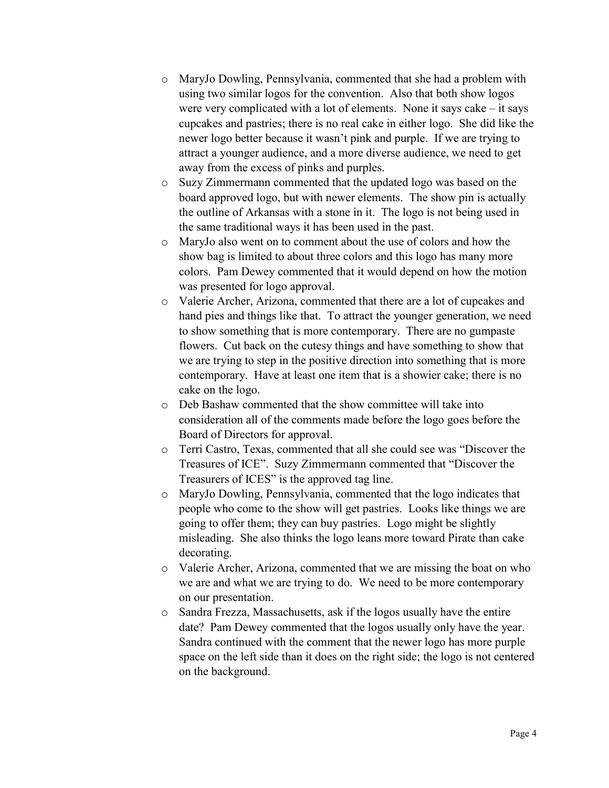- o MaryJo Dowling, Pennsylvania, commented that she had a problem with using two similar logos for the convention. Also that both show logos were very complicated with a lot of elements. None it says cake – it says cupcakes and pastries; there is no real cake in either logo. She did like the newer logo better because it wasn't pink and purple. If we are trying to attract a younger audience, and a more diverse audience, we need to get away from the excess of pinks and purples.
- o Suzy Zimmermann commented that the updated logo was based on the board approved logo, but with newer elements. The show pin is actually the outline of Arkansas with a stone in it. The logo is not being used in the same traditional ways it has been used in the past.
- o MaryJo also went on to comment about the use of colors and how the show bag is limited to about three colors and this logo has many more colors. Pam Dewey commented that it would depend on how the motion was presented for logo approval.
- o Valerie Archer, Arizona, commented that there are a lot of cupcakes and hand pies and things like that. To attract the younger generation, we need to show something that is more contemporary. There are no gumpaste flowers. Cut back on the cutesy things and have something to show that we are trying to step in the positive direction into something that is more contemporary. Have at least one item that is a showier cake; there is no cake on the logo.
- o Deb Bashaw commented that the show committee will take into consideration all of the comments made before the logo goes before the Board of Directors for approval.
- o Terri Castro, Texas, commented that all she could see was "Discover the Treasures of ICE". Suzy Zimmermann commented that "Discover the Treasurers of ICES" is the approved tag line.
- o MaryJo Dowling, Pennsylvania, commented that the logo indicates that people who come to the show will get pastries. Looks like things we are going to offer them; they can buy pastries. Logo might be slightly misleading. She also thinks the logo leans more toward Pirate than cake decorating.
- o Valerie Archer, Arizona, commented that we are missing the boat on who we are and what we are trying to do. We need to be more contemporary on our presentation.
- o Sandra Frezza, Massachusetts, ask if the logos usually have the entire date? Pam Dewey commented that the logos usually only have the year. Sandra continued with the comment that the newer logo has more purple space on the left side than it does on the right side; the logo is not centered on the background.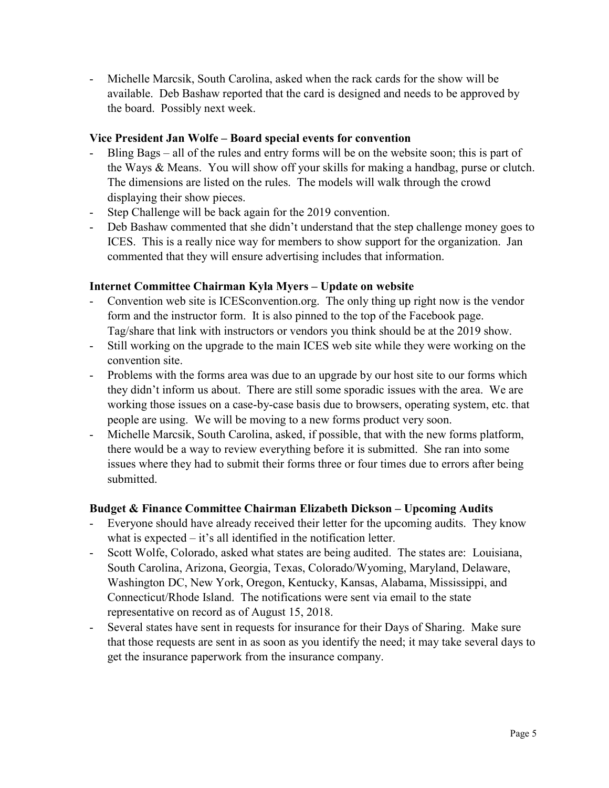- Michelle Marcsik, South Carolina, asked when the rack cards for the show will be available. Deb Bashaw reported that the card is designed and needs to be approved by the board. Possibly next week.

#### Vice President Jan Wolfe – Board special events for convention

- Bling Bags all of the rules and entry forms will be on the website soon; this is part of the Ways & Means. You will show off your skills for making a handbag, purse or clutch. The dimensions are listed on the rules. The models will walk through the crowd displaying their show pieces.
- Step Challenge will be back again for the 2019 convention.
- Deb Bashaw commented that she didn't understand that the step challenge money goes to ICES. This is a really nice way for members to show support for the organization. Jan commented that they will ensure advertising includes that information.

## Internet Committee Chairman Kyla Myers – Update on website

- Convention web site is ICESconvention.org. The only thing up right now is the vendor form and the instructor form. It is also pinned to the top of the Facebook page. Tag/share that link with instructors or vendors you think should be at the 2019 show.
- Still working on the upgrade to the main ICES web site while they were working on the convention site.
- Problems with the forms area was due to an upgrade by our host site to our forms which they didn't inform us about. There are still some sporadic issues with the area. We are working those issues on a case-by-case basis due to browsers, operating system, etc. that people are using. We will be moving to a new forms product very soon.
- Michelle Marcsik, South Carolina, asked, if possible, that with the new forms platform, there would be a way to review everything before it is submitted. She ran into some issues where they had to submit their forms three or four times due to errors after being submitted.

## Budget & Finance Committee Chairman Elizabeth Dickson – Upcoming Audits

- Everyone should have already received their letter for the upcoming audits. They know what is expected – it's all identified in the notification letter.
- Scott Wolfe, Colorado, asked what states are being audited. The states are: Louisiana, South Carolina, Arizona, Georgia, Texas, Colorado/Wyoming, Maryland, Delaware, Washington DC, New York, Oregon, Kentucky, Kansas, Alabama, Mississippi, and Connecticut/Rhode Island. The notifications were sent via email to the state representative on record as of August 15, 2018.
- Several states have sent in requests for insurance for their Days of Sharing. Make sure that those requests are sent in as soon as you identify the need; it may take several days to get the insurance paperwork from the insurance company.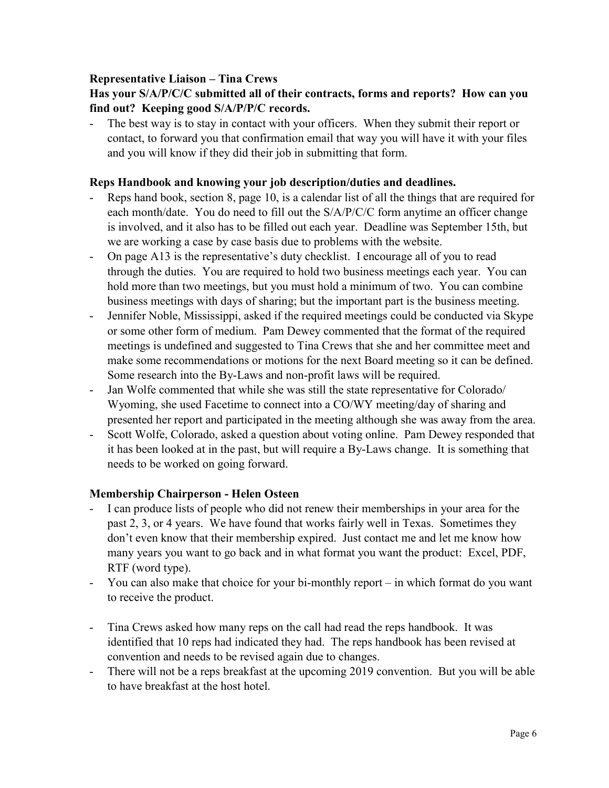#### Representative Liaison – Tina Crews

# Has your S/A/P/C/C submitted all of their contracts, forms and reports? How can you find out? Keeping good S/A/P/P/C records.

- The best way is to stay in contact with your officers. When they submit their report or contact, to forward you that confirmation email that way you will have it with your files and you will know if they did their job in submitting that form.

#### Reps Handbook and knowing your job description/duties and deadlines.

- Reps hand book, section 8, page 10, is a calendar list of all the things that are required for each month/date. You do need to fill out the S/A/P/C/C form anytime an officer change is involved, and it also has to be filled out each year. Deadline was September 15th, but we are working a case by case basis due to problems with the website.
- On page A13 is the representative's duty checklist. I encourage all of you to read through the duties. You are required to hold two business meetings each year. You can hold more than two meetings, but you must hold a minimum of two. You can combine business meetings with days of sharing; but the important part is the business meeting.
- Jennifer Noble, Mississippi, asked if the required meetings could be conducted via Skype or some other form of medium. Pam Dewey commented that the format of the required meetings is undefined and suggested to Tina Crews that she and her committee meet and make some recommendations or motions for the next Board meeting so it can be defined. Some research into the By-Laws and non-profit laws will be required.
- Jan Wolfe commented that while she was still the state representative for Colorado/ Wyoming, she used Facetime to connect into a CO/WY meeting/day of sharing and presented her report and participated in the meeting although she was away from the area.
- Scott Wolfe, Colorado, asked a question about voting online. Pam Dewey responded that it has been looked at in the past, but will require a By-Laws change. It is something that needs to be worked on going forward.

## Membership Chairperson - Helen Osteen

- I can produce lists of people who did not renew their memberships in your area for the past 2, 3, or 4 years. We have found that works fairly well in Texas. Sometimes they don't even know that their membership expired. Just contact me and let me know how many years you want to go back and in what format you want the product: Excel, PDF, RTF (word type).
- You can also make that choice for your bi-monthly report in which format do you want to receive the product.
- Tina Crews asked how many reps on the call had read the reps handbook. It was identified that 10 reps had indicated they had. The reps handbook has been revised at convention and needs to be revised again due to changes.
- There will not be a reps breakfast at the upcoming 2019 convention. But you will be able to have breakfast at the host hotel.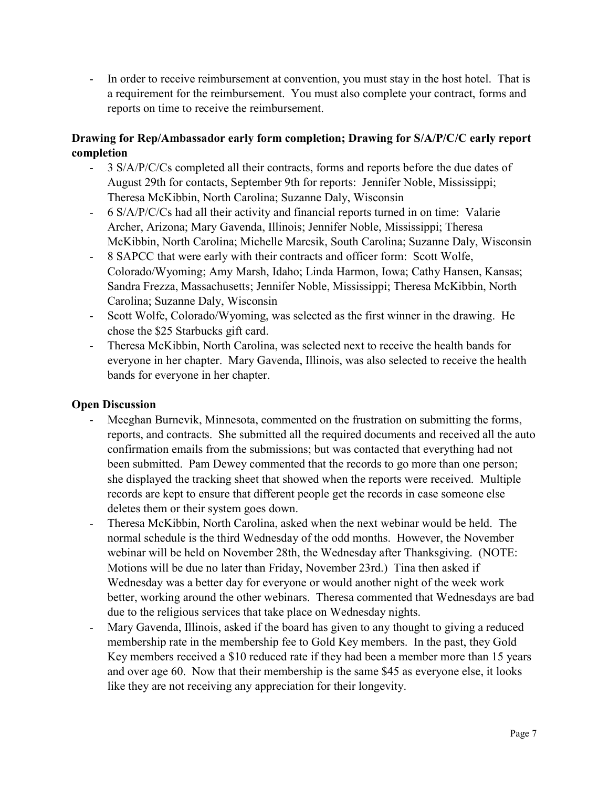- In order to receive reimbursement at convention, you must stay in the host hotel. That is a requirement for the reimbursement. You must also complete your contract, forms and reports on time to receive the reimbursement.

# Drawing for Rep/Ambassador early form completion; Drawing for S/A/P/C/C early report completion

- 3 S/A/P/C/Cs completed all their contracts, forms and reports before the due dates of August 29th for contacts, September 9th for reports: Jennifer Noble, Mississippi; Theresa McKibbin, North Carolina; Suzanne Daly, Wisconsin
- 6 S/A/P/C/Cs had all their activity and financial reports turned in on time: Valarie Archer, Arizona; Mary Gavenda, Illinois; Jennifer Noble, Mississippi; Theresa McKibbin, North Carolina; Michelle Marcsik, South Carolina; Suzanne Daly, Wisconsin
- 8 SAPCC that were early with their contracts and officer form: Scott Wolfe, Colorado/Wyoming; Amy Marsh, Idaho; Linda Harmon, Iowa; Cathy Hansen, Kansas; Sandra Frezza, Massachusetts; Jennifer Noble, Mississippi; Theresa McKibbin, North Carolina; Suzanne Daly, Wisconsin
- Scott Wolfe, Colorado/Wyoming, was selected as the first winner in the drawing. He chose the \$25 Starbucks gift card.
- Theresa McKibbin, North Carolina, was selected next to receive the health bands for everyone in her chapter. Mary Gavenda, Illinois, was also selected to receive the health bands for everyone in her chapter.

# Open Discussion

- Meeghan Burnevik, Minnesota, commented on the frustration on submitting the forms, reports, and contracts. She submitted all the required documents and received all the auto confirmation emails from the submissions; but was contacted that everything had not been submitted. Pam Dewey commented that the records to go more than one person; she displayed the tracking sheet that showed when the reports were received. Multiple records are kept to ensure that different people get the records in case someone else deletes them or their system goes down.
- Theresa McKibbin, North Carolina, asked when the next webinar would be held. The normal schedule is the third Wednesday of the odd months. However, the November webinar will be held on November 28th, the Wednesday after Thanksgiving. (NOTE: Motions will be due no later than Friday, November 23rd.) Tina then asked if Wednesday was a better day for everyone or would another night of the week work better, working around the other webinars. Theresa commented that Wednesdays are bad due to the religious services that take place on Wednesday nights.
- Mary Gavenda, Illinois, asked if the board has given to any thought to giving a reduced membership rate in the membership fee to Gold Key members. In the past, they Gold Key members received a \$10 reduced rate if they had been a member more than 15 years and over age 60. Now that their membership is the same \$45 as everyone else, it looks like they are not receiving any appreciation for their longevity.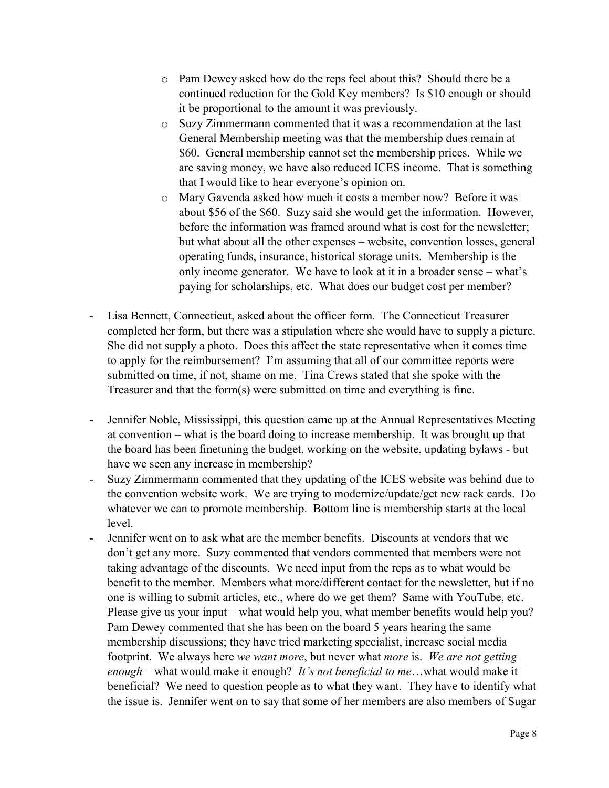- o Pam Dewey asked how do the reps feel about this? Should there be a continued reduction for the Gold Key members? Is \$10 enough or should it be proportional to the amount it was previously.
- o Suzy Zimmermann commented that it was a recommendation at the last General Membership meeting was that the membership dues remain at \$60. General membership cannot set the membership prices. While we are saving money, we have also reduced ICES income. That is something that I would like to hear everyone's opinion on.
- o Mary Gavenda asked how much it costs a member now? Before it was about \$56 of the \$60. Suzy said she would get the information. However, before the information was framed around what is cost for the newsletter; but what about all the other expenses – website, convention losses, general operating funds, insurance, historical storage units. Membership is the only income generator. We have to look at it in a broader sense – what's paying for scholarships, etc. What does our budget cost per member?
- Lisa Bennett, Connecticut, asked about the officer form. The Connecticut Treasurer completed her form, but there was a stipulation where she would have to supply a picture. She did not supply a photo. Does this affect the state representative when it comes time to apply for the reimbursement? I'm assuming that all of our committee reports were submitted on time, if not, shame on me. Tina Crews stated that she spoke with the Treasurer and that the form(s) were submitted on time and everything is fine.
- Jennifer Noble, Mississippi, this question came up at the Annual Representatives Meeting at convention – what is the board doing to increase membership. It was brought up that the board has been finetuning the budget, working on the website, updating bylaws - but have we seen any increase in membership?
- Suzy Zimmermann commented that they updating of the ICES website was behind due to the convention website work. We are trying to modernize/update/get new rack cards. Do whatever we can to promote membership. Bottom line is membership starts at the local level.
- Jennifer went on to ask what are the member benefits. Discounts at vendors that we don't get any more. Suzy commented that vendors commented that members were not taking advantage of the discounts. We need input from the reps as to what would be benefit to the member. Members what more/different contact for the newsletter, but if no one is willing to submit articles, etc., where do we get them? Same with YouTube, etc. Please give us your input – what would help you, what member benefits would help you? Pam Dewey commented that she has been on the board 5 years hearing the same membership discussions; they have tried marketing specialist, increase social media footprint. We always here we want more, but never what more is. We are not getting enough – what would make it enough? It's not beneficial to me...what would make it beneficial? We need to question people as to what they want. They have to identify what the issue is. Jennifer went on to say that some of her members are also members of Sugar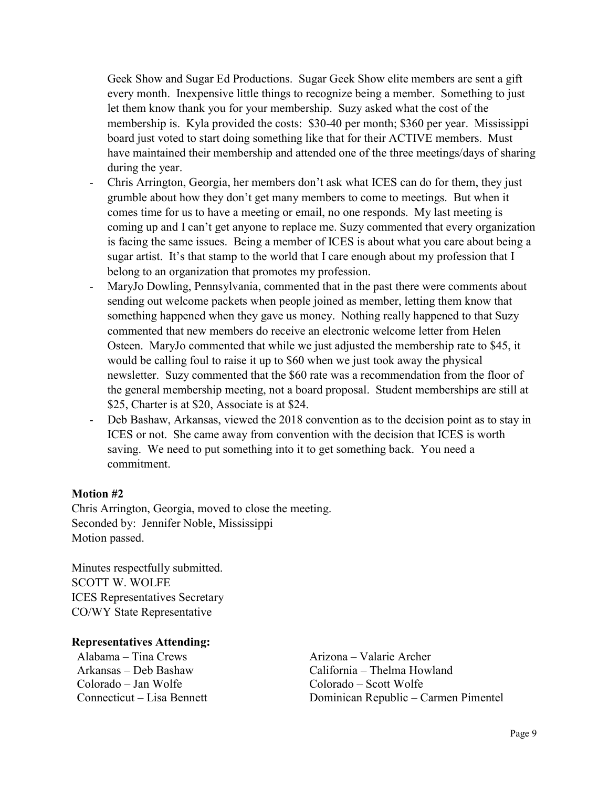Geek Show and Sugar Ed Productions. Sugar Geek Show elite members are sent a gift every month. Inexpensive little things to recognize being a member. Something to just let them know thank you for your membership. Suzy asked what the cost of the membership is. Kyla provided the costs: \$30-40 per month; \$360 per year. Mississippi board just voted to start doing something like that for their ACTIVE members. Must have maintained their membership and attended one of the three meetings/days of sharing during the year.

- Chris Arrington, Georgia, her members don't ask what ICES can do for them, they just grumble about how they don't get many members to come to meetings. But when it comes time for us to have a meeting or email, no one responds. My last meeting is coming up and I can't get anyone to replace me. Suzy commented that every organization is facing the same issues. Being a member of ICES is about what you care about being a sugar artist. It's that stamp to the world that I care enough about my profession that I belong to an organization that promotes my profession.
- MaryJo Dowling, Pennsylvania, commented that in the past there were comments about sending out welcome packets when people joined as member, letting them know that something happened when they gave us money. Nothing really happened to that Suzy commented that new members do receive an electronic welcome letter from Helen Osteen. MaryJo commented that while we just adjusted the membership rate to \$45, it would be calling foul to raise it up to \$60 when we just took away the physical newsletter. Suzy commented that the \$60 rate was a recommendation from the floor of the general membership meeting, not a board proposal. Student memberships are still at \$25, Charter is at \$20, Associate is at \$24.
- Deb Bashaw, Arkansas, viewed the 2018 convention as to the decision point as to stay in ICES or not. She came away from convention with the decision that ICES is worth saving. We need to put something into it to get something back. You need a commitment.

#### Motion #2

Chris Arrington, Georgia, moved to close the meeting. Seconded by: Jennifer Noble, Mississippi Motion passed.

Minutes respectfully submitted. SCOTT W. WOLFE ICES Representatives Secretary CO/WY State Representative

#### Representatives Attending:

Alabama – Tina Crews Arizona – Valarie Archer Colorado – Jan Wolfe Colorado – Scott Wolfe

Arkansas – Deb Bashaw California – Thelma Howland Connecticut – Lisa Bennett Dominican Republic – Carmen Pimentel